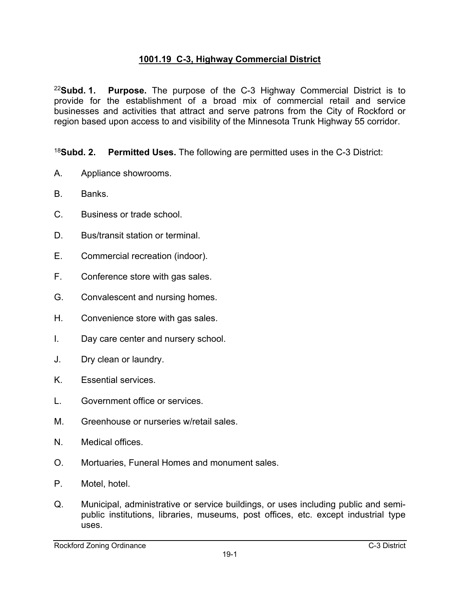## **1001.19 C-3, Highway Commercial District**

<sup>22</sup>**Subd. 1. Purpose.** The purpose of the C-3 Highway Commercial District is to provide for the establishment of a broad mix of commercial retail and service businesses and activities that attract and serve patrons from the City of Rockford or region based upon access to and visibility of the Minnesota Trunk Highway 55 corridor.

<sup>18</sup>**Subd. 2. Permitted Uses.** The following are permitted uses in the C-3 District:

- A. Appliance showrooms.
- B. Banks.
- C. Business or trade school.
- D. Bus/transit station or terminal.
- E. Commercial recreation (indoor).
- F. Conference store with gas sales.
- G. Convalescent and nursing homes.
- H. Convenience store with gas sales.
- I. Day care center and nursery school.
- J. Dry clean or laundry.
- K. Essential services.
- L. Government office or services.
- M. Greenhouse or nurseries w/retail sales.
- N. Medical offices.
- O. Mortuaries, Funeral Homes and monument sales.
- P. Motel, hotel.
- Q. Municipal, administrative or service buildings, or uses including public and semipublic institutions, libraries, museums, post offices, etc. except industrial type uses.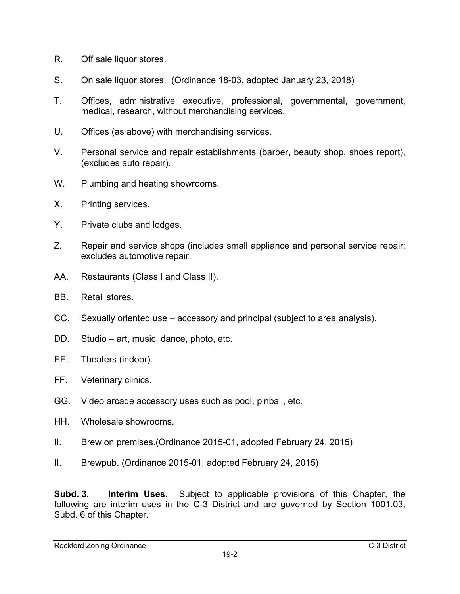- R. Off sale liquor stores.
- S. On sale liquor stores. (Ordinance 18-03, adopted January 23, 2018)
- T. Offices, administrative executive, professional, governmental, government, medical, research, without merchandising services.
- U. Offices (as above) with merchandising services.
- V. Personal service and repair establishments (barber, beauty shop, shoes report), (excludes auto repair).
- W. Plumbing and heating showrooms.
- X. Printing services.
- Y. Private clubs and lodges.
- Z. Repair and service shops (includes small appliance and personal service repair; excludes automotive repair.
- AA. Restaurants (Class I and Class II).
- BB. Retail stores.
- CC. Sexually oriented use accessory and principal (subject to area analysis).
- DD. Studio art, music, dance, photo, etc.
- EE. Theaters (indoor).
- FF. Veterinary clinics.
- GG. Video arcade accessory uses such as pool, pinball, etc.
- HH. Wholesale showrooms.
- II. Brew on premises.(Ordinance 2015-01, adopted February 24, 2015)
- II. Brewpub. (Ordinance 2015-01, adopted February 24, 2015)

**Subd. 3. Interim Uses.** Subject to applicable provisions of this Chapter, the following are interim uses in the C-3 District and are governed by Section 1001.03, Subd. 6 of this Chapter.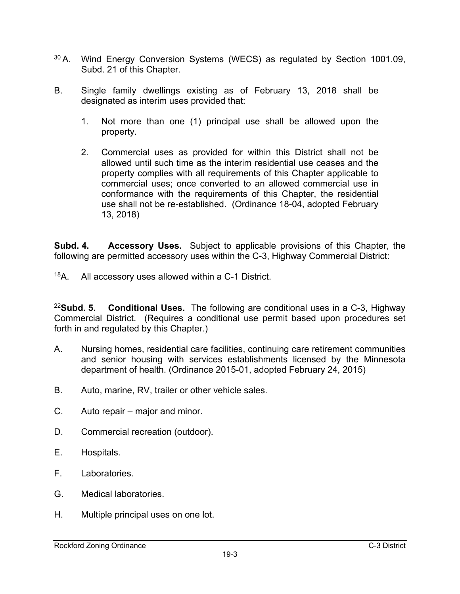- 30 A. Wind Energy Conversion Systems (WECS) as regulated by Section 1001.09, Subd. 21 of this Chapter.
- B. Single family dwellings existing as of February 13, 2018 shall be designated as interim uses provided that:
	- 1. Not more than one (1) principal use shall be allowed upon the property.
	- 2. Commercial uses as provided for within this District shall not be allowed until such time as the interim residential use ceases and the property complies with all requirements of this Chapter applicable to commercial uses; once converted to an allowed commercial use in conformance with the requirements of this Chapter, the residential use shall not be re-established. (Ordinance 18-04, adopted February 13, 2018)

**Subd. 4. Accessory Uses.** Subject to applicable provisions of this Chapter, the following are permitted accessory uses within the C-3, Highway Commercial District:

18A. All accessory uses allowed within a C-1 District.

<sup>22</sup>**Subd. 5. Conditional Uses.** The following are conditional uses in a C-3, Highway Commercial District. (Requires a conditional use permit based upon procedures set forth in and regulated by this Chapter.)

- A. Nursing homes, residential care facilities, continuing care retirement communities and senior housing with services establishments licensed by the Minnesota department of health. (Ordinance 2015-01, adopted February 24, 2015)
- B. Auto, marine, RV, trailer or other vehicle sales.
- C. Auto repair major and minor.
- D. Commercial recreation (outdoor).
- E. Hospitals.
- F. Laboratories.
- G. Medical laboratories.
- H. Multiple principal uses on one lot.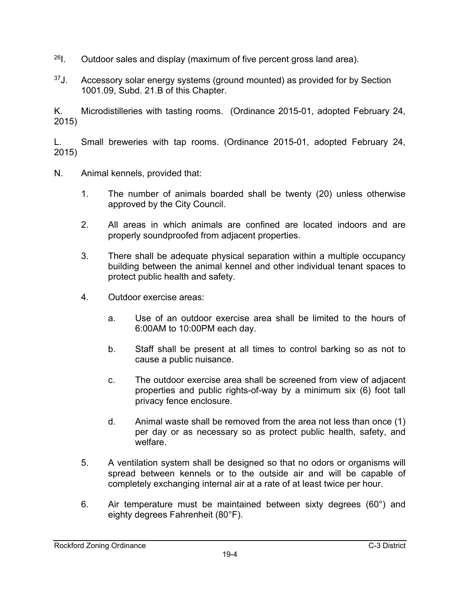- $^{26}$ I. Outdoor sales and display (maximum of five percent gross land area).
- $37$ J. Accessory solar energy systems (ground mounted) as provided for by Section 1001.09, Subd. 21.B of this Chapter.

K. Microdistilleries with tasting rooms. (Ordinance 2015-01, adopted February 24, 2015)

L. Small breweries with tap rooms. (Ordinance 2015-01, adopted February 24, 2015)

- N. Animal kennels, provided that:
	- 1. The number of animals boarded shall be twenty (20) unless otherwise approved by the City Council.
	- 2. All areas in which animals are confined are located indoors and are properly soundproofed from adjacent properties.
	- 3. There shall be adequate physical separation within a multiple occupancy building between the animal kennel and other individual tenant spaces to protect public health and safety.
	- 4. Outdoor exercise areas:
		- a. Use of an outdoor exercise area shall be limited to the hours of 6:00AM to 10:00PM each day.
		- b. Staff shall be present at all times to control barking so as not to cause a public nuisance.
		- c. The outdoor exercise area shall be screened from view of adjacent properties and public rights-of-way by a minimum six (6) foot tall privacy fence enclosure.
		- d. Animal waste shall be removed from the area not less than once (1) per day or as necessary so as protect public health, safety, and welfare.
	- 5. A ventilation system shall be designed so that no odors or organisms will spread between kennels or to the outside air and will be capable of completely exchanging internal air at a rate of at least twice per hour.
	- 6. Air temperature must be maintained between sixty degrees (60°) and eighty degrees Fahrenheit (80°F).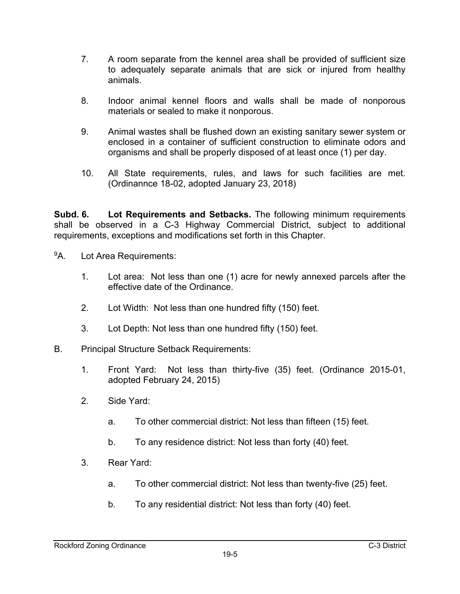- 7. A room separate from the kennel area shall be provided of sufficient size to adequately separate animals that are sick or injured from healthy animals.
- 8. Indoor animal kennel floors and walls shall be made of nonporous materials or sealed to make it nonporous.
- 9. Animal wastes shall be flushed down an existing sanitary sewer system or enclosed in a container of sufficient construction to eliminate odors and organisms and shall be properly disposed of at least once (1) per day.
- 10. All State requirements, rules, and laws for such facilities are met. (Ordinannce 18-02, adopted January 23, 2018)

**Subd. 6. Lot Requirements and Setbacks.** The following minimum requirements shall be observed in a C-3 Highway Commercial District, subject to additional requirements, exceptions and modifications set forth in this Chapter.

- <sup>9</sup>A. Lot Area Requirements:
	- 1. Lot area: Not less than one (1) acre for newly annexed parcels after the effective date of the Ordinance.
	- 2. Lot Width: Not less than one hundred fifty (150) feet.
	- 3. Lot Depth: Not less than one hundred fifty (150) feet.
- B. Principal Structure Setback Requirements:
	- 1. Front Yard: Not less than thirty-five (35) feet. (Ordinance 2015-01, adopted February 24, 2015)
	- 2. Side Yard:
		- a. To other commercial district: Not less than fifteen (15) feet.
		- b. To any residence district: Not less than forty (40) feet.
	- 3. Rear Yard:
		- a. To other commercial district: Not less than twenty-five (25) feet.
		- b. To any residential district: Not less than forty (40) feet.